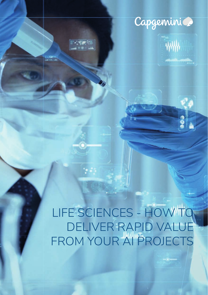

ww

LIFE SCIENCES - HOW TO DELIVER RAPID VALUE FROM YOUR AI PROJECTS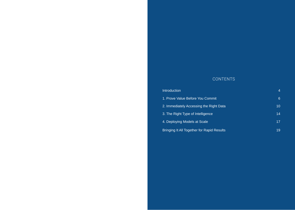## CONTENTS

| <b>Introduction</b>                        | 4               |
|--------------------------------------------|-----------------|
| 1. Prove Value Before You Commit           | 6               |
| 2. Immediately Accessing the Right Data    | 10 <sup>1</sup> |
| 3. The Right Type of Intelligence          | 14              |
| 4. Deploying Models at Scale               | 17              |
| Bringing It All Together for Rapid Results | 19              |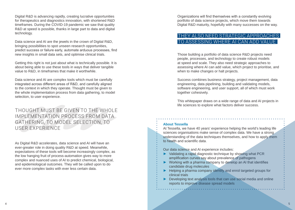Digital R&D is advancing rapidly, creating lucrative opportunities for therapeutics and diagnostics innovation, with shortened R&D timeframes. During the COVID-19 pandemic we saw that quality R&D at speed is possible, thanks in large part to data and digital technology.

Data science and AI are the jewels in the crown of Digital R&D, bringing possibilities to spot unseen research opportunities, predict success or failure early, automate arduous processes, find new insights in small data sets, and optimise clinical trials.

Getting this right is not just about what is technically possible. It is about being able to use these tools in ways that deliver tangible value to R&D, in timeframes that make it worthwhile.

Data science and AI are complex tools which must be carefully integrated across different areas of R&D, and carefully aligned to the context in which they operate. Thought must be given to the whole implementation process from data gathering, to model selection, to user experience.

THOUGHT MUST BE GIVEN TO THE WHOLE IMPLEMENTATION PROCESS FROM DATA GATHERING, TO MODEL SELECTION, TO USER EXPERIENCE

As Digital R&D accelerates, data science and AI will have an ever-greater role in doing quality R&D at speed. Meanwhile, expectations of these tools will become increasingly complex, as the low hanging fruit of process-automation gives way to more complex and nuanced uses of AI to predict chemical, biological, and epidemiological outcomes. They will be called upon to do ever more complex tasks with ever less certain data.

Organizations will find themselves with a constantly evolving portfolio of data science projects, which move them towards Digital R&D maturity, hopefully with many successes on the way.

# THEY ALSO NEED STRATEGIC APPROA TO ASSESSING WHERE ALCAN ADD

Those building a portfolio of data science R&D projects need people, processes, and technology to create robust models at speed and scale. They also need strategic approaches to assessing where AI can add value, which project to prioritise, and when to make changes or halt projects.

Success combines business strategy, project management, data engineering, data pipelining, building and validating models, software engineering, and user support, all of which must work together cohesively.

This whitepaper draws on a wide range of data and AI projects in life sciences to explore what factors deliver success.

## **About Tessella**

At Tessella, we have 40 years' experience helping the world's leading life sciences organisations make sense of complex data. We have a strong understanding of the data techniques themselves, and how to apply them to health and scientific data.

Our data science and AI experience includes:

- **►** Validating a rapid diagnostic technique by showing what PCR amplification curves say about prevalence of pathogens
- **►** Working with a pharma company to develop an AI that identifies candidate drug molecules
- **►** Helping a pharma company identify and enrol targeted groups for clinical trials
- **►** Developing text analysis tools that can use social media and online reports to improve disease spread models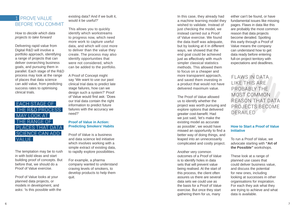# 1 PROVE VALUE BEFORE YOU COMMIT

*How to decide which data projects to take forward*

Delivering rapid value from Digital R&D will involve a portfolio approach, identifying a range of projects that can deliver overarching business goals, and pursuing them in parallel. Each stage of the R&D process may look at the range of places that data science can add value, from predicting success rates to optimising clinical trials.

# EACH STAGE OF THE R&D PROCESS MAY LOOK AT THE RANGE OF PLACES THAT DATA SCIENCE CAN ADD VALUE

The temptation may be to rush in with bold ideas and start building proof of concepts. But before that, we should do a Proof of Value exercise.

Proof of Value looks at your planned data projects, or models in development, and asks: 'Is this possible with the

existing data? And if we built it, would it be useful?'

This allows you to quickly identify which workstreams to progress now, which need more work to capture useful data, and which will cost more to deliver than the value they create. The process may also identify opportunities that were not considered, which can be added to the portfolio.

A Proof of Concept might say 'We want to use our past clinical trial data to predict late stage failures, how can we design such a system?' Proof of Value would first ask: 'Does our trial data contain the right information to predict future failures with the accuracy we need?'

## **Proof of Value in Action: Predicting Smokers' Habits**

Proof of Value is a business and data science led initiative which involves working with a simple extract of existing data, to rapidly explore possibilities.

For example, a pharma company wanted to understand craving levels of smokers, to develop products to help them quit.

In this case, they already had a machine learning model they wished to validate. Instead of just checking the model, we instead carried out a Proof of Value exercise. We found the data itself was adequate, but by looking at it in different ways, we showed that the end goal could be achieved just as effectively with much simpler classical statistics methods. This allowed them to focus on a cheaper and more transparent approach, and saved them investing in a product that would not have delivered maximum value.

The Proof of Value allowed us to identify whether the project was worth pursuing and explore options that delivered greater cost-benefit. Had we just said, 'let's make the existing model as accurate as possible', we would have missed an opportunity to find a better way of doing things, and leaped into an unnecessarily complicated and costly project.

Another very common outcomes of a Proof of Value is to identify holes in data sets that will prevent value being realised. At the start of this process, the client often assures us there are several data sets we could use as the basis for a Proof of Value exercise. But once they start gathering them for us, many

either can't be found, or have fundamental issues like missing pages. Flaws in data like this are probably the most common reason that data projects become derailed. Spotting this early through a Proof of Value means the company can understand how to get data ready before entering full-on project territory with expectations and deadlines.

# FLAWS IN DATA LIKE THIS ARE PROBABLY THE MOST COMMON REASON THAT DATA PROJECTS BECOME DERAILED

## **How to Start a Proof of Value Initiative**

To run a Proof of Value, we advocate starting with **"Art of the Possible"** workshops.

These look at a range of planned use cases that could deliver business value, and discuss the potential for new ones, including looking at successes in other organisations for inspiration. For each they ask what they are trying to achieve and what data is available.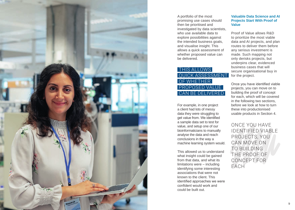

A portfolio of the most promising use cases should then be prioritised and investigated by data scientists, who use available data to explore possibilities against the intended business goals, and visualise insight. This allows a quick assessment of whether proposed value can be delivered.

# **THIS ALLOWS** QUICK ASSESSMENT OF WHETHER PROPOSED VALUE CAN BE DELIVERED

For example, in one project a client had lots of messy data they were struggling to get value from. We identified a sample data set to test for value, and setup one of our bioinformaticians to manually analyse the data and reach conclusions in the way a machine learning system would.

This allowed us to understand what insight could be gained from that data, and what its limitations were – including identifying some interesting associations that were not known to the client. This identified approaches we were confident would work and could be built out.

#### **Valuable Data Science and AI Projects Start With Proof of Value**

Proof of Value allows R&D to prioritize the most viable data and AI projects, and plan routes to deliver them before any serious investment is made. Such mapping not only derisks projects, but underpins clear, evidenced business cases that will secure organisational buy in for the project.

Once you have identified viable projects, you can move on to building the proof of concept for each, which will be covered in the following two sections, before we look at how to turn these into productionised usable products in Section 4.

ONCE YOU HAVE IDENTIFIED VIABLE PROJECTS, YOU CAN MOVE ON TO BUILDING THE PROOF OF CONCEPT FOR EACH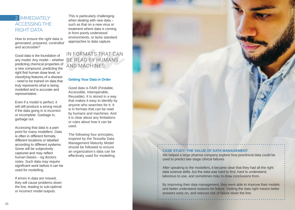# 2 **IMMEDIATELY** ACCESSING THE RIGHT DATA

*How to ensure the right data is generated, prepared, controlled and accessible?*

Good data is the foundation of any model. Any model – whether predicting chemical properties of a new compound, predicting the right first human dose level, or classifying features of a disease - need to be trained on data that truly represents what is being modelled and is accurate and representative.

Even if a model is perfect, it will still produce a wrong result if the data going in is incorrect or incomplete. Garbage in, garbage out.

Accessing that data is a pain point for many modellers. Data is often in different formats, different locations or labelled according to different systems. Some will be subjectively captured and may reflect human biases – eg doctors notes. Such data may require significant work before it can be used for modelling.

If errors in data are missed, they will cause problems down the line, leading to sub-optimal or incorrect model outputs.

This is particularly challenging when dealing with new data such as that on a new virus or treatment where data is coming in from poorly understood environments, or lacks standard approaches to data capture.

IN FORMATS THAT CAN BE READ BY HUMANS AND MACHINES

## **Getting Your Data in Order**

Good data is FAIR (Findable, Accessible, Interoperable, Reusable). It is stored in a way that makes it easy to identify by anyone who searches for it. It is in formats that can be read by humans and machines. And it is clear about any limitations or rules about how it can be used.

The following four principles, inspired by the Tessella Data Management Maturity Model should be followed to ensure an organization's data can be effectively used for modelling.



#### **CASE STUDY: THE VALUE OF DATA MANAGEMENT**

We helped a large pharma company explore how preclinical data could be used to predict late-stage clinical failures.

After speaking to the modellers, it became clear that they had all the right data science skills, but the data was hard to find, hard to understand, laborious to use, and sometimes risky to draw conclusions from.

By improving their data management, they were able to improve their models and better understand reasons for failure. Getting the data right means better answers early on, and reduces risk of failure down the line.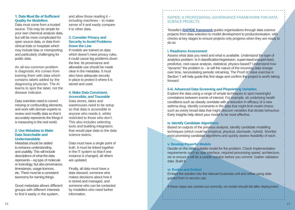#### **1. Data Must Be of Sufficient Quality for Modellers**

Data must come from a trusted source. This may be simple for your own chemical analysis data, but will be more complicated for open source data, or data from clinical trials or hospitals which may include bias or misreporting, and particularly challenging for public data.

An all-too-common problem is diagnostic AIs comes from training them with data which contains labels added by the diagnosing physician. The AI learns to spot the label, not the disease indicator.

Data scientists need to correct missing or confounding elements, and work with domain experts to review and modify data so that it accurately represents the things it is measuring in the real world.

#### **2. Use Metadata to Make Data Searchable and Understandable**

Metadata should be added to enhance understanding and usability. This will include descriptions of what the data represents – eg type of molecule or toxicology, but also provenance, timestamps, usage licences, etc. There must be a consistent taxonomy for naming things.

Good metadata allows different groups with different interests to find it easily in the system,

and allow those reading it – including machines – to make sense of it and easily compare it to other data.

#### **3. Consider Privacy and Security to Avoid Problems Down the Line**

If models are trained on data which doesn't meet privacy rules, it could cause big problems down the line. Its provenance and allowable use should be made clear in the metadata. It must also have adequate security in place to protect it where it is stored and used.

#### **4. Make Data Consistent, Accessible, and Traceable**

Data stores, lakes and warehouses need to be setup so that data is accessible to anyone who needs it, whilst restricted to those who don't. This also includes selecting tools and building integrators that would pipe data to the data science teams.

Data must have a single point of truth. It must be linked together in the IT system so that if one instance is changed, all others are updated.

Finally, all data must have a data steward, someone who makes decisions about how it is stored and managed, and someone who can be contacted by modellers who need further information.

RAPIDE: A PROFESSIONAL GOVERNANCE FRAMEWORK FOR DATA SCIENCE PROJECTS

Tessella's **[RAPIDE framework](https://www.tessella.com/rapide-data-science-framework-pp)** guides organisations through data science projects from data selection to model development to productionisation, with checks at key stages to ensure projects only progress when they are ready to do so.

#### **i. Readiness Assessment**

Assess what data you need and what is available. Understand the type of analytics problem: Is it classification/regression, supervised/unsupervised, predictive, root-cause analysis, statistical, physics-based? Understand how "dynamic" the problem is – ie will the nature of the incoming data change over time, necessitating periodic retraining. The Proof of Value exercise in Section 1 will help guide this first stage and confirm the project is worth taking forward.

#### **ii-iii. Advanced Data Screening and Pinpointing Variables**

Explore the data using a range of simple techniques to spot meaningful correlations between events of interest. For example, do underlying health conditions such as obesity correlate with a reduction in efficacy of a new asthma drug. Identify constraints in the data that might limit model choice; such as overly broad data that might obscure variables that dictate behaviour. Early insights help direct your model to be most effective.

## **iv. Identify Candidate Algorithms**

Based on outputs of the previous analysis, identify candidate modelling techniques (which could be empirical, physical, stochastic, hybrid). Shortlist most promising candidate algorithms and quickly assess feasibility of each.

## **v. Develop Powerful Models**

Decide on the most suitable model for the problem. Check implementation requirements such as user interface, required processing speed, architecture, etc to ensure it will be a usable solution before you commit. Gather validation data. Build it.

## **vi. Evolve and Embed**

Embed the solution into the relevant business unit and refine using data gained from in-service use.

If these steps are carried out correctly, no model should fail after deployment.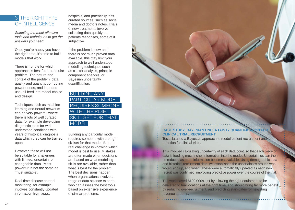# 3 THE RIGHT TYPE OF INTELLIGENCE

*Selecting the most effective tools and techniques to get the answers you need*

Once you're happy you have the right data, it's time to build models that work.

There is no rule for which approach is best for a particular problem. The nature and context of the problem, data quality and quantity, computing power needs, and intended use, all feed into model choice and design.

Techniques such as machine learning and neural networks can be very powerful where there is lots of well curated data, for example developing diagnostic tools for well understood conditions with years of historical diagnosis data which they can be trained upon.

However, these will not be suitable for challenges with limited, uncertain, or changeable data. 'Most powerful' is not the same as 'must suitable'.

Real time disease spread monitoring, for example, involves constantly updated information from apps,

hospitals, and potentially less curated sources, such as social media and doctors notes. Trials of new treatments involve collecting data quickly on patients responses, some of it subjective.

If the problem is new and there is not much proven data available, this may limit your approach to well understood modelling techniques such as cluster analysis, principle component analysis, or Bayesian uncertainty quantification.

BUILDING ANY PARTICULAR MODEL REQUIRES SOMEONE WITH THE RIGHT SKILLSET FOR THAT MODEL

Building any particular model requires someone with the right skillset for that model. But the real challenge is knowing which model is best to use. Mistakes are often made when decisions are based on what modelling skills are available, rather than what is best for the problem. The best decisions happen when organisations involve a range of data science experts, who can assess the best tools based on extensive experience of similar problems.

## **CASE STUDY: BAYESIAN UNCERTAINTY QUANTIFICATION FOR CLINICAL TRIAL RECRUITMENT**

Tessella used a Bayesian approach to model patient recruitment and retention for clinical trials.

This involved calculating uncertainty of each data point, so that each piece of data is feeding much richer information into the model. Uncertainties can then be reduced as more information becomes available. Using demographic data and historical recruitment data, we established the uncertainties around who would sign up, and when. These were automatically updated as each new recruit was confirmed, improving predictive power over the course of the trial.

The work saved \$100,000s just by allowing the right equipment to be delivered to trial locations at the right time, and should bring far more benefit. by reducing over-recruitment, and predicting start-dates for new drug revenue streams.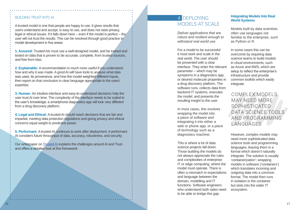## BUILDING TRUST INTO AI

A trusted model is one that people are happy to use. It gives results that users understand and accept, is easy to use, and does not raise privacy, legal or ethical issues. If it falls down here – even if the model is perfect – the user will not trust the results. This can be resolved through good practice in model development in five areas:

**1. Assured:** Trusted AIs must use a well-designed model, and be trained and tested on data that is proven to be accurate, complete, from trusted sources, and free from bias.

**2. Explainable:** A recommendation is much more useful if you understand how and why it was made. A good AI will have tools to analyse what data was used, its provenance, and how the model weighted different inputs, then report on that conclusion in clear language appropriate to the users' expertise.

**3. Human:** An intuitive interface and easy-to-understand decisions help the user trust AI over time. The complexity of the interface needs to be suited to the user's knowledge; a smartphone diagnostics app will look very different from a drug discovery platform.

**4. Legal and Ethical:** A trusted AI should reach decisions that are fair and impartial, meeting data protection regulations and giving privacy and ethical concerns equal weight to predictive power.

**5. Performant:** A trusted AI continues to work after deployment. A performant AI considers future throughput of data, accuracy, robustness, and security.

Our whitepaper on [Trusted AI](https://www.tessella.com/how-to-build-ai-that-people-trust-lp) explains the challenges around AI and Trust and offers a detailed look at this framework.

# 4 DEPLOYING MODELS AT SCALE

*Deliver applications that are robust and resilient enough to withstand real-world use*

For a model to be successful it must work and scale in the real world. The user should be presented with a clear interface. They enter the relevant parameter – which may be symptoms in a diagnostics app; or desired molecule properties in a drug discovery platform. The software runs, collects data from backend IT systems, executes the model, and presents the resulting insight to the user.

In most cases, this involves wrapping the model into a piece of software and integrating it into either a web or phone app, or a piece of technology such as a diagnostics machine.

This is where a lot of data science projects fall down. Those building the models do not always appreciate the rules and complexities of enterprise IT or edge computing, where the model must operate. There is often a mismatch in expectations and language between the domain, modelling and IT functions. Software engineers who understand both sides need to be able to bridge this gap.

## **Integrating Models Into Real World Systems**

Models built by data scientists often use languages not familiar to the enterprise, such as Python or R.

In some cases this can be overcome by requiring data science teams to build models in cloud environments, such as Azure and AWS, which are setup to reflect the enterprise's infrastructure and provide common toolkits which easily integrate.

# COMPLEX MODELS MAY NEED MORE SOPHISTICATED DATA SCIENCE TOOLS AND PROGRAMMING **LANGUAGES**

However, complex models may need more sophisticated data science tools and programming languages, leaving them in a format which doesn't naturally integrate. The solution is usually 'containerization'; wrapping models in software ('containers') which translates incoming and outgoing data into a common format. The model then runs in isolation in the container but slots into the wider IT ecosystem.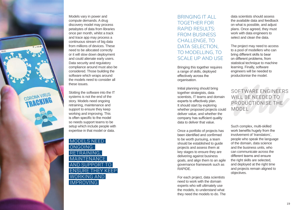

Models vary in power and compute demands. A drug discovery model may process petabytes of data from libraries once per month, whilst a track and trace app may process a continuous stream of big data from millions of devices. These need to be allocated correctly or it will slow down deployment and could alienate early users. Data security and regulatory compliance around must also be considered. Those building the software which wraps around the models need to consider all these issues.

Slotting the software into the IT systems is not the end of the story. Models need ongoing retraining, maintenance and support to ensure they keep working and improving. This is often specific to the model so needs support teams to be setup which include people with expertise in that model or data.

MODELS NEED **ONGOING** RETRAINING, **MAINTENANCE** AND SUPPORT ENSURE THEY KEEP WORKING AND IMPROVING

# BRINGING IT ALL TOGETHER FOR RAPID RESULTS: FROM BUSINESS CHALLENGE, TO DATA SELECTION. TO MODELLING, TO SCALE UP AND USE

Bringing this together requires a range of skills, deployed effectively across the organisation.

Initial planning should bring together strategists, data scientists, IT teams and domain experts to effectively plan. It should start by exploring whether proposed projects could deliver value, and whether the company has sufficient quality data to deliver that value.

Once a portfolio of projects has been identified and confirmed to be worth pursuing, a team should be established to quide projects and assess them at key stages to ensure they are delivering against business goals, and align them to an agile governance framework such as RAPIDE.

For each project, data scientists need to work with the domain experts who will ultimately use the models, to understand what they need the models to do. The data scientists should assess the available data and feedback on what is possible, and adjust plans. Once agreed, they must work with data engineers to select and clean the data.

The project may need to access to a pool of modellers who can bring different skills to bear on different problems, from statistical technique to machine learning. Finally, software engineers will be needed to productionise the model.

SOFTWARE ENGINEERS WILL BE NEEDED TO PRODUCTIONISE THE MODEL

Such complex, multi-skilled work benefits hugely from the involvement of 'translators', people who speak the language of the domain, data science and the business units, who can communicate across the different teams and ensure the right skills are selected, and deployed at the right time and projects remain aligned to objectives.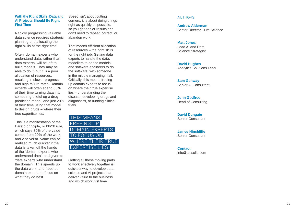#### **With the Right Skills, Data and AI Projects Should Be Right First Time**

Rapidly progressing valuable data science requires strategic planning and allocating the right skills at the right time.

Often, domain experts who understand data, rather than data experts, will be left to build models. They may be able to do it, but it is a poor allocation of resources, resulting in slower progress and high failure rates. Domain experts will often spend 80% of their time turning data into something useful eg a drug prediction model, and just 20% of their time using that model to design drugs – where their true expertise lies.

This is a manifestation of the Pareto principle, or 80/20 rule, which says 80% of the value comes from 20% of the work, and vice versa. Value can be realised much quicker if the data is taken off the hands of the 'domain experts who understand data', and given to 'data experts who understand the domain'. This speeds up the data work, and frees up domain experts to focus on what they do best.

Speed isn't about cutting corners, it is about doing things right as quickly as possible. so you get earlier results and don't need to repeat, correct, or abandon work.

That means efficient allocation of resources – the right skills for the right job. Getting data experts to handle the data, modellers to do the models, and software engineers to do the software, with someone in the middle managing it all. Critically, this means freeing up domain experts to focus on where their true expertise lies – understanding the disease, developing drugs and diagnostics, or running clinical trials.



Getting all these moving parts to work effectively together is quickest way to develop data science and AI projects that deliver value to the business and which work first time.

#### AUTHORS

**Andrew Alderman** Sector Director - Life Science

#### **Matt Jones**

Lead AI and Data Science Strategist

**David Hughes** Analytics Solutions Lead

**Sam Genway** Senior AI Consultant

**John Godfree** Head of Consulting

**David Dungate** Senior Consultant

**James Hinchliffe** Senior Consultant

**Contact:**  info@tessella.com